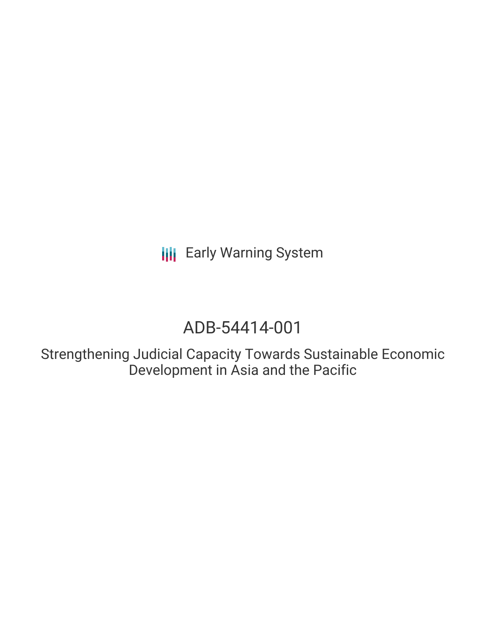**III** Early Warning System

# ADB-54414-001

Strengthening Judicial Capacity Towards Sustainable Economic Development in Asia and the Pacific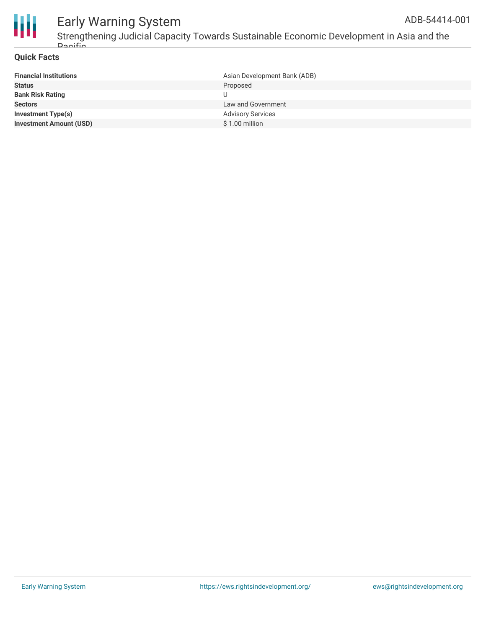

# Early Warning System

### **Quick Facts**

| <b>Financial Institutions</b>  | Asian Development Bank (ADB) |
|--------------------------------|------------------------------|
| <b>Status</b>                  | Proposed                     |
| <b>Bank Risk Rating</b>        |                              |
| <b>Sectors</b>                 | Law and Government           |
| Investment Type(s)             | <b>Advisory Services</b>     |
| <b>Investment Amount (USD)</b> | $$1.00$ million              |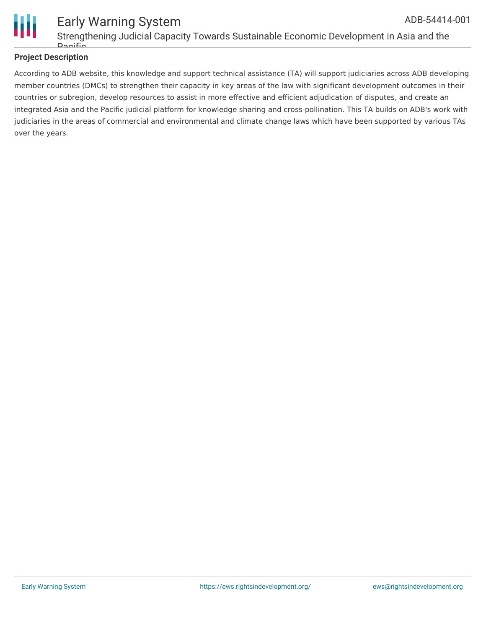

#### Early Warning System Strengthening Judicial Capacity Towards Sustainable Economic Development in Asia and the **Dacific** ADB-54414-001

## **Project Description**

According to ADB website, this knowledge and support technical assistance (TA) will support judiciaries across ADB developing member countries (DMCs) to strengthen their capacity in key areas of the law with significant development outcomes in their countries or subregion, develop resources to assist in more effective and efficient adjudication of disputes, and create an integrated Asia and the Pacific judicial platform for knowledge sharing and cross-pollination. This TA builds on ADB's work with judiciaries in the areas of commercial and environmental and climate change laws which have been supported by various TAs over the years.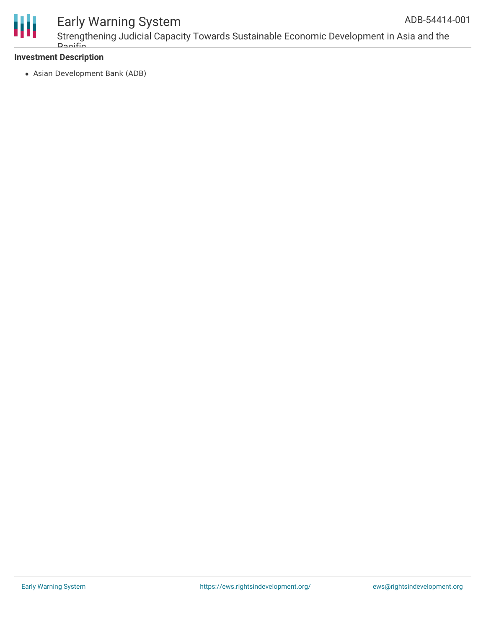

# Early Warning System

Strengthening Judicial Capacity Towards Sustainable Economic Development in Asia and the **Dacific** ADB-54414-001

### **Investment Description**

Asian Development Bank (ADB)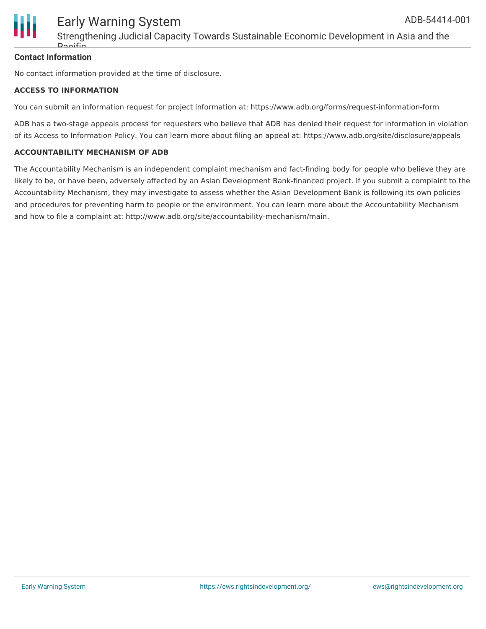

### **Contact Information**

No contact information provided at the time of disclosure.

#### **ACCESS TO INFORMATION**

You can submit an information request for project information at: https://www.adb.org/forms/request-information-form

ADB has a two-stage appeals process for requesters who believe that ADB has denied their request for information in violation of its Access to Information Policy. You can learn more about filing an appeal at: https://www.adb.org/site/disclosure/appeals

#### **ACCOUNTABILITY MECHANISM OF ADB**

The Accountability Mechanism is an independent complaint mechanism and fact-finding body for people who believe they are likely to be, or have been, adversely affected by an Asian Development Bank-financed project. If you submit a complaint to the Accountability Mechanism, they may investigate to assess whether the Asian Development Bank is following its own policies and procedures for preventing harm to people or the environment. You can learn more about the Accountability Mechanism and how to file a complaint at: http://www.adb.org/site/accountability-mechanism/main.